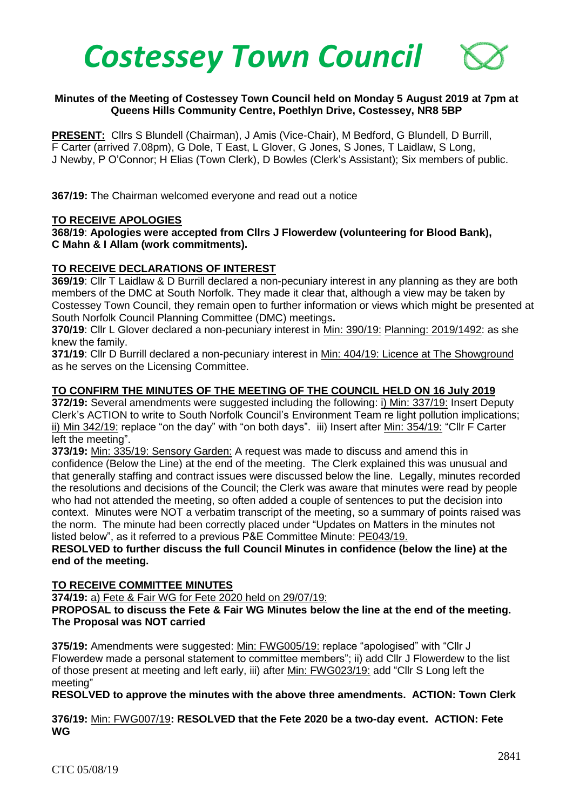

# **Minutes of the Meeting of Costessey Town Council held on Monday 5 August 2019 at 7pm at Queens Hills Community Centre, Poethlyn Drive, Costessey, NR8 5BP**

**PRESENT:** Cllrs S Blundell (Chairman), J Amis (Vice-Chair), M Bedford, G Blundell, D Burrill, F Carter (arrived 7.08pm), G Dole, T East, L Glover, G Jones, S Jones, T Laidlaw, S Long, J Newby, P O'Connor; H Elias (Town Clerk), D Bowles (Clerk's Assistant); Six members of public.

**367/19:** The Chairman welcomed everyone and read out a notice

#### **TO RECEIVE APOLOGIES**

**368/19**: **Apologies were accepted from Cllrs J Flowerdew (volunteering for Blood Bank), C Mahn & I Allam (work commitments).**

#### **TO RECEIVE DECLARATIONS OF INTEREST**

**369/19**: Cllr T Laidlaw & D Burrill declared a non-pecuniary interest in any planning as they are both members of the DMC at South Norfolk. They made it clear that, although a view may be taken by Costessey Town Council, they remain open to further information or views which might be presented at South Norfolk Council Planning Committee (DMC) meetings**.**

**370/19**: Cllr L Glover declared a non-pecuniary interest in Min: 390/19: Planning: 2019/1492: as she knew the family.

**371/19**: Cllr D Burrill declared a non-pecuniary interest in Min: 404/19: Licence at The Showground as he serves on the Licensing Committee.

#### **TO CONFIRM THE MINUTES OF THE MEETING OF THE COUNCIL HELD ON 16 July 2019**

**372/19:** Several amendments were suggested including the following: i) Min: 337/19: Insert Deputy Clerk's ACTION to write to South Norfolk Council's Environment Team re light pollution implications; ii) Min 342/19: replace "on the day" with "on both days". iii) Insert after Min: 354/19: "Cllr F Carter left the meeting".

**373/19:** Min: 335/19: Sensory Garden: A request was made to discuss and amend this in confidence (Below the Line) at the end of the meeting. The Clerk explained this was unusual and that generally staffing and contract issues were discussed below the line. Legally, minutes recorded the resolutions and decisions of the Council; the Clerk was aware that minutes were read by people who had not attended the meeting, so often added a couple of sentences to put the decision into context. Minutes were NOT a verbatim transcript of the meeting, so a summary of points raised was the norm. The minute had been correctly placed under "Updates on Matters in the minutes not listed below", as it referred to a previous P&E Committee Minute: PE043/19.

# **RESOLVED to further discuss the full Council Minutes in confidence (below the line) at the end of the meeting.**

#### **TO RECEIVE COMMITTEE MINUTES**

**374/19:** a) Fete & Fair WG for Fete 2020 held on 29/07/19:

**PROPOSAL to discuss the Fete & Fair WG Minutes below the line at the end of the meeting. The Proposal was NOT carried**

**375/19:** Amendments were suggested: Min: FWG005/19: replace "apologised" with "Cllr J Flowerdew made a personal statement to committee members"; ii) add Cllr J Flowerdew to the list of those present at meeting and left early, iii) after Min: FWG023/19: add "Cllr S Long left the meeting"

**RESOLVED to approve the minutes with the above three amendments. ACTION: Town Clerk**

**376/19:** Min: FWG007/19**: RESOLVED that the Fete 2020 be a two-day event. ACTION: Fete WG**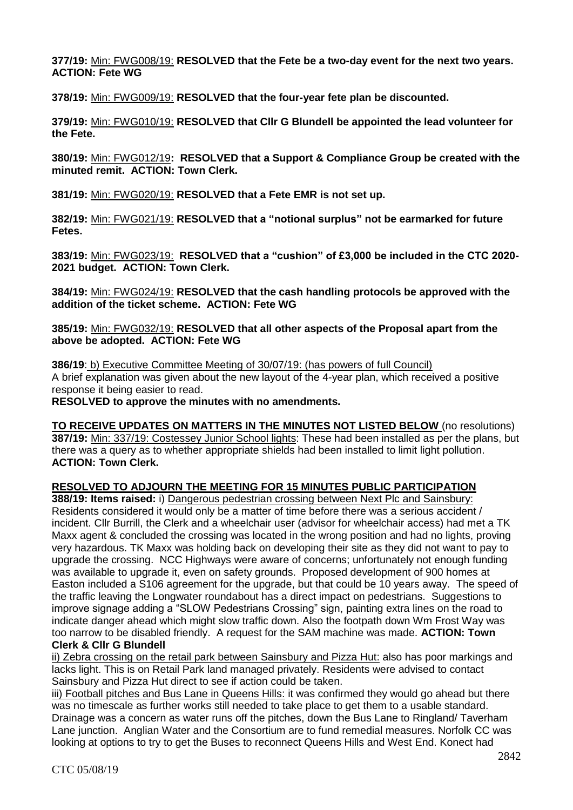**377/19:** Min: FWG008/19: **RESOLVED that the Fete be a two-day event for the next two years. ACTION: Fete WG**

**378/19:** Min: FWG009/19: **RESOLVED that the four-year fete plan be discounted.** 

**379/19:** Min: FWG010/19: **RESOLVED that Cllr G Blundell be appointed the lead volunteer for the Fete.** 

**380/19:** Min: FWG012/19**: RESOLVED that a Support & Compliance Group be created with the minuted remit. ACTION: Town Clerk.**

**381/19:** Min: FWG020/19: **RESOLVED that a Fete EMR is not set up.** 

**382/19:** Min: FWG021/19: **RESOLVED that a "notional surplus" not be earmarked for future Fetes.** 

**383/19:** Min: FWG023/19: **RESOLVED that a "cushion" of £3,000 be included in the CTC 2020- 2021 budget. ACTION: Town Clerk.**

**384/19:** Min: FWG024/19: **RESOLVED that the cash handling protocols be approved with the addition of the ticket scheme. ACTION: Fete WG**

**385/19:** Min: FWG032/19: **RESOLVED that all other aspects of the Proposal apart from the above be adopted. ACTION: Fete WG**

**386/19**: b) Executive Committee Meeting of 30/07/19: (has powers of full Council) A brief explanation was given about the new layout of the 4-year plan, which received a positive response it being easier to read.

**RESOLVED to approve the minutes with no amendments.** 

**TO RECEIVE UPDATES ON MATTERS IN THE MINUTES NOT LISTED BELOW** (no resolutions) **387/19:** Min: 337/19: Costessey Junior School lights: These had been installed as per the plans, but there was a query as to whether appropriate shields had been installed to limit light pollution. **ACTION: Town Clerk.**

# **RESOLVED TO ADJOURN THE MEETING FOR 15 MINUTES PUBLIC PARTICIPATION**

**388/19: Items raised:** i) Dangerous pedestrian crossing between Next Plc and Sainsbury: Residents considered it would only be a matter of time before there was a serious accident / incident. Cllr Burrill, the Clerk and a wheelchair user (advisor for wheelchair access) had met a TK Maxx agent & concluded the crossing was located in the wrong position and had no lights, proving very hazardous. TK Maxx was holding back on developing their site as they did not want to pay to upgrade the crossing. NCC Highways were aware of concerns; unfortunately not enough funding was available to upgrade it, even on safety grounds. Proposed development of 900 homes at Easton included a S106 agreement for the upgrade, but that could be 10 years away. The speed of the traffic leaving the Longwater roundabout has a direct impact on pedestrians. Suggestions to improve signage adding a "SLOW Pedestrians Crossing" sign, painting extra lines on the road to indicate danger ahead which might slow traffic down. Also the footpath down Wm Frost Way was too narrow to be disabled friendly. A request for the SAM machine was made. **ACTION: Town Clerk & Cllr G Blundell**

ii) Zebra crossing on the retail park between Sainsbury and Pizza Hut: also has poor markings and lacks light. This is on Retail Park land managed privately. Residents were advised to contact Sainsbury and Pizza Hut direct to see if action could be taken.

iii) Football pitches and Bus Lane in Queens Hills: it was confirmed they would go ahead but there was no timescale as further works still needed to take place to get them to a usable standard. Drainage was a concern as water runs off the pitches, down the Bus Lane to Ringland/ Taverham Lane junction. Anglian Water and the Consortium are to fund remedial measures. Norfolk CC was looking at options to try to get the Buses to reconnect Queens Hills and West End. Konect had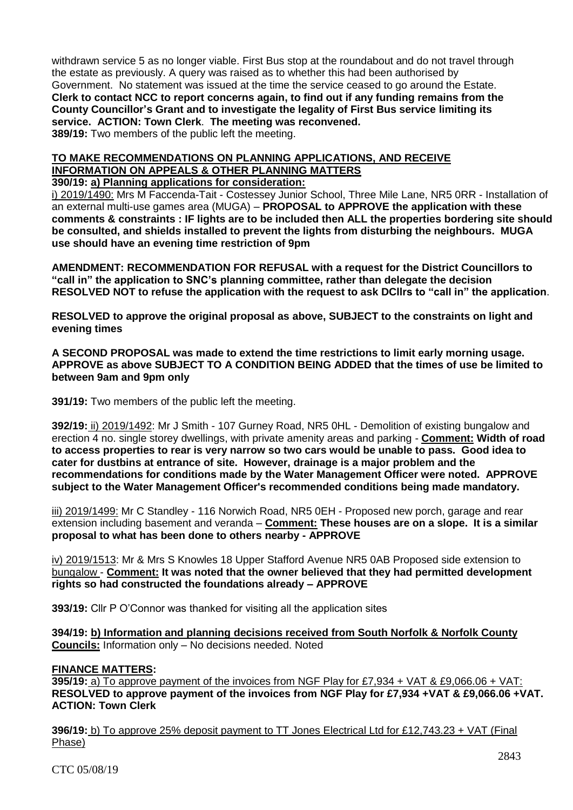withdrawn service 5 as no longer viable. First Bus stop at the roundabout and do not travel through the estate as previously. A query was raised as to whether this had been authorised by Government. No statement was issued at the time the service ceased to go around the Estate. **Clerk to contact NCC to report concerns again, to find out if any funding remains from the County Councillor's Grant and to investigate the legality of First Bus service limiting its service. ACTION: Town Clerk**. **The meeting was reconvened. 389/19:** Two members of the public left the meeting.

# **TO MAKE RECOMMENDATIONS ON PLANNING APPLICATIONS, AND RECEIVE INFORMATION ON APPEALS & OTHER PLANNING MATTERS**

# **390/19: a) Planning applications for consideration:**

i) 2019/1490: Mrs M Faccenda-Tait - Costessey Junior School, Three Mile Lane, NR5 0RR - Installation of an external multi-use games area (MUGA) – **PROPOSAL to APPROVE the application with these comments & constraints : IF lights are to be included then ALL the properties bordering site should be consulted, and shields installed to prevent the lights from disturbing the neighbours. MUGA use should have an evening time restriction of 9pm**

**AMENDMENT: RECOMMENDATION FOR REFUSAL with a request for the District Councillors to "call in" the application to SNC's planning committee, rather than delegate the decision RESOLVED NOT to refuse the application with the request to ask DCllrs to "call in" the application**.

**RESOLVED to approve the original proposal as above, SUBJECT to the constraints on light and evening times**

**A SECOND PROPOSAL was made to extend the time restrictions to limit early morning usage. APPROVE as above SUBJECT TO A CONDITION BEING ADDED that the times of use be limited to between 9am and 9pm only**

**391/19:** Two members of the public left the meeting.

**392/19:** ii) 2019/1492: Mr J Smith - 107 Gurney Road, NR5 0HL - Demolition of existing bungalow and erection 4 no. single storey dwellings, with private amenity areas and parking - **Comment: Width of road to access properties to rear is very narrow so two cars would be unable to pass. Good idea to cater for dustbins at entrance of site. However, drainage is a major problem and the recommendations for conditions made by the Water Management Officer were noted. APPROVE subject to the Water Management Officer's recommended conditions being made mandatory.**

iii) 2019/1499: Mr C Standley - 116 Norwich Road, NR5 0EH - Proposed new porch, garage and rear extension including basement and veranda – **Comment: These houses are on a slope. It is a similar proposal to what has been done to others nearby - APPROVE**

iv) 2019/1513: Mr & Mrs S Knowles 18 Upper Stafford Avenue NR5 0AB Proposed side extension to bungalow - **Comment: It was noted that the owner believed that they had permitted development rights so had constructed the foundations already – APPROVE**

**393/19:** Cllr P O'Connor was thanked for visiting all the application sites

**394/19: b) Information and planning decisions received from South Norfolk & Norfolk County Councils:** Information only – No decisions needed. Noted

# **FINANCE MATTERS:**

**395/19:** a) To approve payment of the invoices from NGF Play for £7,934 + VAT & £9,066.06 + VAT: **RESOLVED to approve payment of the invoices from NGF Play for £7,934 +VAT & £9,066.06 +VAT. ACTION: Town Clerk**

**396/19:** b) To approve 25% deposit payment to TT Jones Electrical Ltd for £12,743.23 + VAT (Final Phase)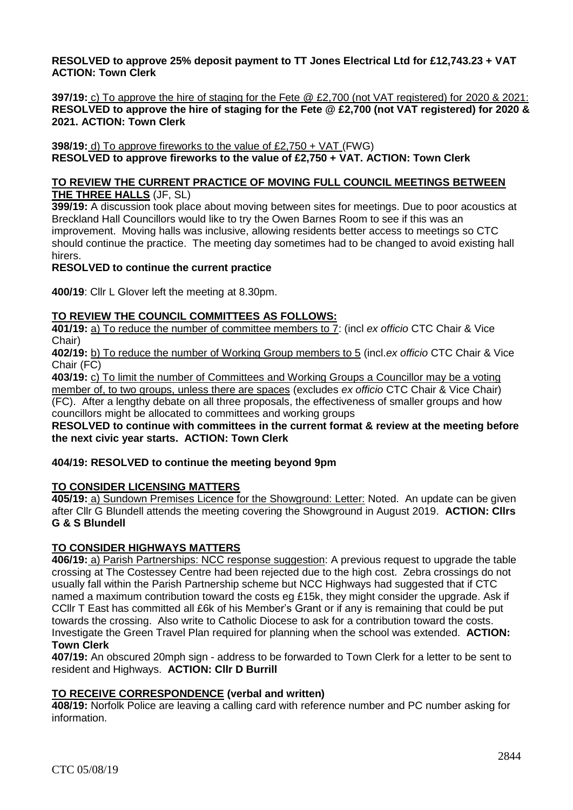# **RESOLVED to approve 25% deposit payment to TT Jones Electrical Ltd for £12,743.23 + VAT ACTION: Town Clerk**

**397/19:** c) To approve the hire of staging for the Fete @ £2,700 (not VAT registered) for 2020 & 2021: **RESOLVED to approve the hire of staging for the Fete @ £2,700 (not VAT registered) for 2020 & 2021. ACTION: Town Clerk**

**398/19:** d) To approve fireworks to the value of £2,750 + VAT (FWG) **RESOLVED to approve fireworks to the value of £2,750 + VAT. ACTION: Town Clerk**

#### **TO REVIEW THE CURRENT PRACTICE OF MOVING FULL COUNCIL MEETINGS BETWEEN THE THREE HALLS** (JF, SL)

**399/19:** A discussion took place about moving between sites for meetings. Due to poor acoustics at Breckland Hall Councillors would like to try the Owen Barnes Room to see if this was an improvement. Moving halls was inclusive, allowing residents better access to meetings so CTC should continue the practice. The meeting day sometimes had to be changed to avoid existing hall hirers.

# **RESOLVED to continue the current practice**

**400/19**: Cllr L Glover left the meeting at 8.30pm.

# **TO REVIEW THE COUNCIL COMMITTEES AS FOLLOWS:**

**401/19:** a) To reduce the number of committee members to 7: (incl *ex officio* CTC Chair & Vice Chair)

**402/19:** b) To reduce the number of Working Group members to 5 (incl.*ex officio* CTC Chair & Vice Chair (FC)

**403/19:** c) To limit the number of Committees and Working Groups a Councillor may be a voting

member of, to two groups, unless there are spaces (excludes *ex officio* CTC Chair & Vice Chair) (FC).After a lengthy debate on all three proposals, the effectiveness of smaller groups and how councillors might be allocated to committees and working groups

**RESOLVED to continue with committees in the current format & review at the meeting before the next civic year starts. ACTION: Town Clerk**

# **404/19: RESOLVED to continue the meeting beyond 9pm**

# **TO CONSIDER LICENSING MATTERS**

**405/19:** a) Sundown Premises Licence for the Showground: Letter: Noted. An update can be given after Cllr G Blundell attends the meeting covering the Showground in August 2019. **ACTION: Cllrs G & S Blundell** 

# **TO CONSIDER HIGHWAYS MATTERS**

**406/19:** a) Parish Partnerships: NCC response suggestion: A previous request to upgrade the table crossing at The Costessey Centre had been rejected due to the high cost. Zebra crossings do not usually fall within the Parish Partnership scheme but NCC Highways had suggested that if CTC named a maximum contribution toward the costs eg £15k, they might consider the upgrade. Ask if CCllr T East has committed all £6k of his Member's Grant or if any is remaining that could be put towards the crossing. Also write to Catholic Diocese to ask for a contribution toward the costs. Investigate the Green Travel Plan required for planning when the school was extended. **ACTION: Town Clerk**

**407/19:** An obscured 20mph sign - address to be forwarded to Town Clerk for a letter to be sent to resident and Highways. **ACTION: Cllr D Burrill**

# **TO RECEIVE CORRESPONDENCE (verbal and written)**

**408/19:** Norfolk Police are leaving a calling card with reference number and PC number asking for information.